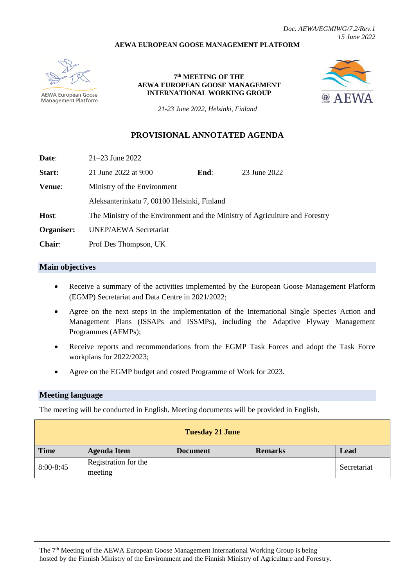### **AEWA EUROPEAN GOOSE MANAGEMENT PLATFORM**



**AEWA European Goose** Management Platform

**7 th MEETING OF THE AEWA EUROPEAN GOOSE MANAGEMENT INTERNATIONAL WORKING GROUP**



*21-23 June 2022, Helsinki, Finland*

## **PROVISIONAL ANNOTATED AGENDA**

**Date**: 21–23 June 2022

| Start:     | 21 June 2022 at 9:00                       | End: | 23 June 2022                                                                 |
|------------|--------------------------------------------|------|------------------------------------------------------------------------------|
| Venue:     | Ministry of the Environment                |      |                                                                              |
|            | Aleksanterinkatu 7,00100 Helsinki, Finland |      |                                                                              |
| Host:      |                                            |      | The Ministry of the Environment and the Ministry of Agriculture and Forestry |
| Organiser: | <b>UNEP/AEWA Secretariat</b>               |      |                                                                              |
| Chair:     | Prof Des Thompson, UK                      |      |                                                                              |

## **Main objectives**

- Receive a summary of the activities implemented by the European Goose Management Platform (EGMP) Secretariat and Data Centre in 2021/2022;
- Agree on the next steps in the implementation of the International Single Species Action and Management Plans (ISSAPs and ISSMPs), including the Adaptive Flyway Management Programmes (AFMPs);
- Receive reports and recommendations from the EGMP Task Forces and adopt the Task Force workplans for 2022/2023;
- Agree on the EGMP budget and costed Programme of Work for 2023.

### **Meeting language**

The meeting will be conducted in English. Meeting documents will be provided in English.

| <b>Tuesday 21 June</b> |                                 |                 |                |             |
|------------------------|---------------------------------|-----------------|----------------|-------------|
| <b>Time</b>            | <b>Agenda Item</b>              | <b>Document</b> | <b>Remarks</b> | <b>Lead</b> |
| $8:00 - 8:45$          | Registration for the<br>meeting |                 |                | Secretariat |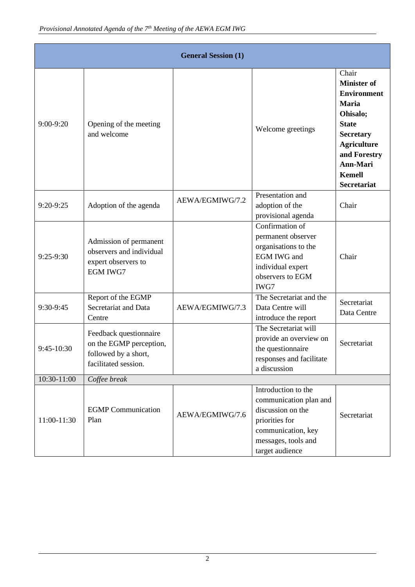|             | <b>General Session (1)</b>                                                                        |                 |                                                                                                                                                      |                                                                                                                                                                                                            |  |
|-------------|---------------------------------------------------------------------------------------------------|-----------------|------------------------------------------------------------------------------------------------------------------------------------------------------|------------------------------------------------------------------------------------------------------------------------------------------------------------------------------------------------------------|--|
| $9:00-9:20$ | Opening of the meeting<br>and welcome                                                             |                 | Welcome greetings                                                                                                                                    | Chair<br><b>Minister of</b><br><b>Environment</b><br><b>Maria</b><br>Ohisalo;<br><b>State</b><br><b>Secretary</b><br><b>Agriculture</b><br>and Forestry<br>Ann-Mari<br><b>Kemell</b><br><b>Secretariat</b> |  |
| 9:20-9:25   | Adoption of the agenda                                                                            | AEWA/EGMIWG/7.2 | Presentation and<br>adoption of the<br>provisional agenda                                                                                            | Chair                                                                                                                                                                                                      |  |
| $9:25-9:30$ | Admission of permanent<br>observers and individual<br>expert observers to<br><b>EGM IWG7</b>      |                 | Confirmation of<br>permanent observer<br>organisations to the<br><b>EGM IWG and</b><br>individual expert<br>observers to EGM<br>IWG7                 | Chair                                                                                                                                                                                                      |  |
| 9:30-9:45   | Report of the EGMP<br>Secretariat and Data<br>Centre                                              | AEWA/EGMIWG/7.3 | The Secretariat and the<br>Data Centre will<br>introduce the report                                                                                  | Secretariat<br>Data Centre                                                                                                                                                                                 |  |
| 9:45-10:30  | Feedback questionnaire<br>on the EGMP perception,<br>followed by a short,<br>facilitated session. |                 | The Secretariat will<br>provide an overview on<br>the questionnaire<br>responses and facilitate<br>a discussion                                      | Secretariat                                                                                                                                                                                                |  |
| 10:30-11:00 | Coffee break                                                                                      |                 |                                                                                                                                                      |                                                                                                                                                                                                            |  |
| 11:00-11:30 | <b>EGMP</b> Communication<br>Plan                                                                 | AEWA/EGMIWG/7.6 | Introduction to the<br>communication plan and<br>discussion on the<br>priorities for<br>communication, key<br>messages, tools and<br>target audience | Secretariat                                                                                                                                                                                                |  |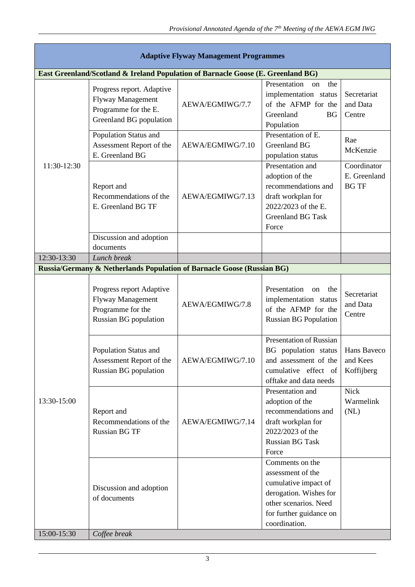| <b>Adaptive Flyway Management Programmes</b> |                                                                                                           |                  |                                                                                                                                                             |                                             |  |  |  |
|----------------------------------------------|-----------------------------------------------------------------------------------------------------------|------------------|-------------------------------------------------------------------------------------------------------------------------------------------------------------|---------------------------------------------|--|--|--|
|                                              | East Greenland/Scotland & Ireland Population of Barnacle Goose (E. Greenland BG)                          |                  |                                                                                                                                                             |                                             |  |  |  |
| 11:30-12:30                                  | Progress report. Adaptive<br><b>Flyway Management</b><br>Programme for the E.<br>Greenland BG population  | AEWA/EGMIWG/7.7  | Presentation<br>the<br>on<br>implementation status<br>of the AFMP for the<br>Greenland<br><b>BG</b><br>Population                                           | Secretariat<br>and Data<br>Centre           |  |  |  |
|                                              | Population Status and<br>Assessment Report of the<br>E. Greenland BG                                      | AEWA/EGMIWG/7.10 | Presentation of E.<br><b>Greenland BG</b><br>population status                                                                                              | Rae<br>McKenzie                             |  |  |  |
|                                              | Report and<br>Recommendations of the<br>E. Greenland BG TF                                                | AEWA/EGMIWG/7.13 | Presentation and<br>adoption of the<br>recommendations and<br>draft workplan for<br>2022/2023 of the E.<br><b>Greenland BG Task</b><br>Force                | Coordinator<br>E. Greenland<br><b>BG TF</b> |  |  |  |
|                                              | Discussion and adoption<br>documents                                                                      |                  |                                                                                                                                                             |                                             |  |  |  |
| 12:30-13:30                                  | Lunch break                                                                                               |                  |                                                                                                                                                             |                                             |  |  |  |
|                                              | Russia/Germany & Netherlands Population of Barnacle Goose (Russian BG)                                    |                  |                                                                                                                                                             |                                             |  |  |  |
| 13:30-15:00                                  | Progress report Adaptive<br><b>Flyway Management</b><br>Programme for the<br><b>Russian BG</b> population | AEWA/EGMIWG/7.8  | Presentation<br>the<br>on<br>implementation status<br>of the AFMP for the<br><b>Russian BG Population</b>                                                   | Secretariat<br>and Data<br>Centre           |  |  |  |
|                                              | Population Status and<br>Assessment Report of the<br>Russian BG population                                | AEWA/EGMIWG/7.10 | <b>Presentation of Russian</b><br>BG population status<br>and assessment of the<br>cumulative effect of<br>offtake and data needs                           | Hans Baveco<br>and Kees<br>Koffijberg       |  |  |  |
|                                              | Report and<br>Recommendations of the<br><b>Russian BG TF</b>                                              | AEWA/EGMIWG/7.14 | Presentation and<br>adoption of the<br>recommendations and<br>draft workplan for<br>2022/2023 of the<br><b>Russian BG Task</b><br>Force                     | <b>Nick</b><br>Warmelink<br>(NL)            |  |  |  |
|                                              | Discussion and adoption<br>of documents                                                                   |                  | Comments on the<br>assessment of the<br>cumulative impact of<br>derogation. Wishes for<br>other scenarios. Need<br>for further guidance on<br>coordination. |                                             |  |  |  |
| 15:00-15:30                                  | Coffee break                                                                                              |                  |                                                                                                                                                             |                                             |  |  |  |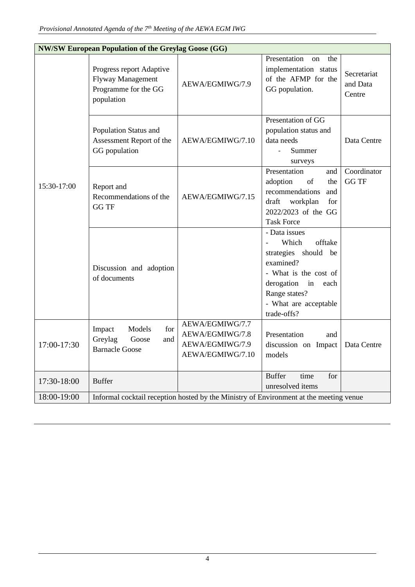| <b>NW/SW European Population of the Greylag Goose (GG)</b> |                                                                                            |                                                                           |                                                                                                                                                                                                    |                                   |
|------------------------------------------------------------|--------------------------------------------------------------------------------------------|---------------------------------------------------------------------------|----------------------------------------------------------------------------------------------------------------------------------------------------------------------------------------------------|-----------------------------------|
|                                                            | Progress report Adaptive<br><b>Flyway Management</b><br>Programme for the GG<br>population | AEWA/EGMIWG/7.9                                                           | Presentation<br>the<br>$\alpha$<br>implementation status<br>of the AFMP for the<br>GG population.                                                                                                  | Secretariat<br>and Data<br>Centre |
|                                                            | Population Status and<br>Assessment Report of the<br>GG population                         | AEWA/EGMIWG/7.10                                                          | Presentation of GG<br>population status and<br>data needs<br>Summer<br>$\blacksquare$<br>surveys                                                                                                   | Data Centre                       |
| 15:30-17:00                                                | Report and<br>Recommendations of the<br><b>GG TF</b>                                       | AEWA/EGMIWG/7.15                                                          | Presentation<br>and<br>adoption<br>of<br>the<br>recommendations<br>and<br>for<br>draft<br>workplan<br>2022/2023 of the GG<br><b>Task Force</b>                                                     | Coordinator<br><b>GG TF</b>       |
|                                                            | Discussion and adoption<br>of documents                                                    |                                                                           | - Data issues<br>Which<br>offtake<br>$\frac{1}{2}$<br>strategies should be<br>examined?<br>- What is the cost of<br>derogation in<br>each<br>Range states?<br>- What are acceptable<br>trade-offs? |                                   |
| 17:00-17:30                                                | Impact<br>Models<br>for<br>Greylag<br>Goose<br>and<br><b>Barnacle Goose</b>                | AEWA/EGMIWG/7.7<br>AEWA/EGMIWG/7.8<br>AEWA/EGMIWG/7.9<br>AEWA/EGMIWG/7.10 | Presentation<br>and<br>discussion on Impact<br>models                                                                                                                                              | Data Centre                       |
| 17:30-18:00                                                | <b>Buffer</b>                                                                              |                                                                           | <b>Buffer</b><br>for<br>time<br>unresolved items                                                                                                                                                   |                                   |
| 18:00-19:00                                                | Informal cocktail reception hosted by the Ministry of Environment at the meeting venue     |                                                                           |                                                                                                                                                                                                    |                                   |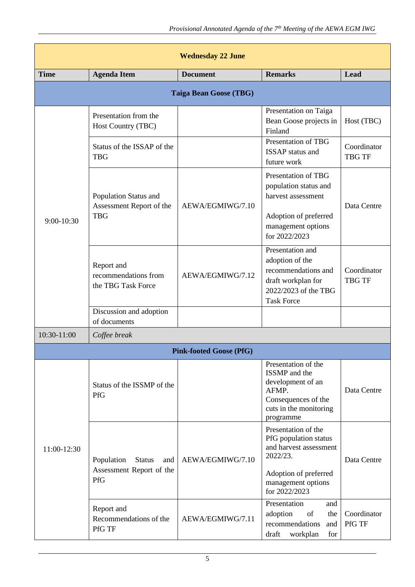| <b>Wednesday 22 June</b> |                                                                       |                                |                                                                                                                                                    |                              |
|--------------------------|-----------------------------------------------------------------------|--------------------------------|----------------------------------------------------------------------------------------------------------------------------------------------------|------------------------------|
| <b>Time</b>              | <b>Agenda Item</b>                                                    | <b>Document</b>                | <b>Remarks</b>                                                                                                                                     | Lead                         |
|                          |                                                                       | <b>Taiga Bean Goose (TBG)</b>  |                                                                                                                                                    |                              |
|                          | Presentation from the<br>Host Country (TBC)                           |                                | Presentation on Taiga<br>Bean Goose projects in<br>Finland                                                                                         | Host (TBC)                   |
|                          | Status of the ISSAP of the<br><b>TBG</b>                              |                                | Presentation of TBG<br><b>ISSAP</b> status and<br>future work                                                                                      | Coordinator<br><b>TBG TF</b> |
| $9:00-10:30$             | Population Status and<br>Assessment Report of the<br><b>TBG</b>       | AEWA/EGMIWG/7.10               | Presentation of TBG<br>population status and<br>harvest assessment<br>Adoption of preferred<br>management options<br>for 2022/2023                 | Data Centre                  |
|                          | Report and<br>recommendations from<br>the TBG Task Force              | AEWA/EGMIWG/7.12               | Presentation and<br>adoption of the<br>recommendations and<br>draft workplan for<br>2022/2023 of the TBG<br><b>Task Force</b>                      | Coordinator<br><b>TBG TF</b> |
|                          | Discussion and adoption<br>of documents                               |                                |                                                                                                                                                    |                              |
| 10:30-11:00              | Coffee break                                                          |                                |                                                                                                                                                    |                              |
|                          |                                                                       | <b>Pink-footed Goose (PfG)</b> |                                                                                                                                                    |                              |
| 11:00-12:30              | Status of the ISSMP of the<br>PfG                                     |                                | Presentation of the<br>ISSMP and the<br>development of an<br>AFMP.<br>Consequences of the<br>cuts in the monitoring<br>programme                   | Data Centre                  |
|                          | Population<br><b>Status</b><br>and<br>Assessment Report of the<br>PfG | AEWA/EGMIWG/7.10               | Presentation of the<br>PfG population status<br>and harvest assessment<br>2022/23.<br>Adoption of preferred<br>management options<br>for 2022/2023 | Data Centre                  |
|                          | Report and<br>Recommendations of the<br>PfG TF                        | AEWA/EGMIWG/7.11               | Presentation<br>and<br>adoption<br>of<br>the<br>recommendations<br>and<br>draft<br>workplan<br>for                                                 | Coordinator<br>PfG TF        |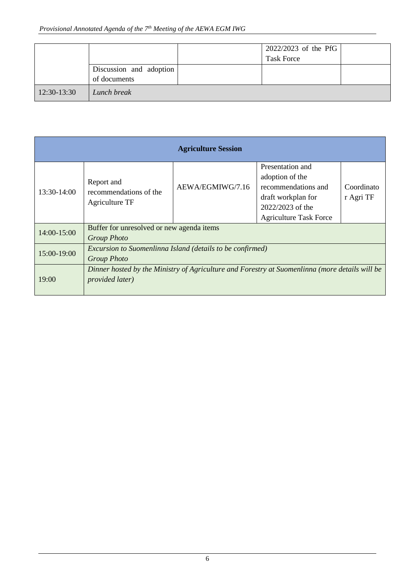|             |                         | 2022/2023 of the PfG |  |
|-------------|-------------------------|----------------------|--|
|             |                         | <b>Task Force</b>    |  |
|             | Discussion and adoption |                      |  |
|             | of documents            |                      |  |
| 12:30-13:30 | Lunch break             |                      |  |

| <b>Agriculture Session</b> |                                                                                                                           |                  |                                                                                                                                       |                         |
|----------------------------|---------------------------------------------------------------------------------------------------------------------------|------------------|---------------------------------------------------------------------------------------------------------------------------------------|-------------------------|
| 13:30-14:00                | Report and<br>recommendations of the<br>Agriculture TF                                                                    | AEWA/EGMIWG/7.16 | Presentation and<br>adoption of the<br>recommendations and<br>draft workplan for<br>2022/2023 of the<br><b>Agriculture Task Force</b> | Coordinato<br>r Agri TF |
| 14:00-15:00                | Buffer for unresolved or new agenda items<br><b>Group Photo</b>                                                           |                  |                                                                                                                                       |                         |
| 15:00-19:00                | Excursion to Suomenlinna Island (details to be confirmed)<br><b>Group Photo</b>                                           |                  |                                                                                                                                       |                         |
| 19:00                      | Dinner hosted by the Ministry of Agriculture and Forestry at Suomenlinna (more details will be<br><i>provided later</i> ) |                  |                                                                                                                                       |                         |